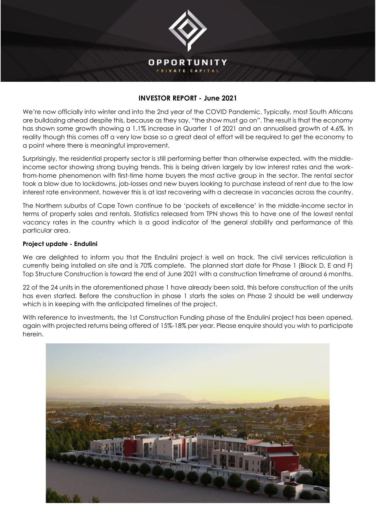

## **INVESTOR REPORT - June 2021**

We're now officially into winter and into the 2nd year of the COVID Pandemic. Typically, most South Africans are bulldozing ahead despite this, because as they say, "the show must go on". The result is that the economy has shown some growth showing a 1.1% increase in Quarter 1 of 2021 and an annualised growth of 4.6%. In reality though this comes off a very low base so a great deal of effort will be required to get the economy to a point where there is meaningful improvement.

Surprisingly, the residential property sector is still performing better than otherwise expected, with the middleincome sector showing strong buying trends. This is being driven largely by low interest rates and the workfrom-home phenomenon with first-time home buyers the most active group in the sector. The rental sector took a blow due to lockdowns, job-losses and new buyers looking to purchase instead of rent due to the low interest rate environment, however this is at last recovering with a decrease in vacancies across the country.

The Northern suburbs of Cape Town continue to be 'pockets of excellence' in the middle-income sector in terms of property sales and rentals. Statistics released from TPN shows this to have one of the lowest rental vacancy rates in the country which is a good indicator of the general stability and performance of this particular area.

## **Project update - Endulini**

We are delighted to inform you that the Endulini project is well on track. The civil services reticulation is currently being installed on site and is 70% complete. The planned start date for Phase 1 (Block D, E and F) Top Structure Construction is toward the end of June 2021 with a construction timeframe of around 6 months.

22 of the 24 units in the aforementioned phase 1 have already been sold, this before construction of the units has even started. Before the construction in phase 1 starts the sales on Phase 2 should be well underway which is in keeping with the anticipated timelines of the project.

With reference to investments, the 1st Construction Funding phase of the Endulini project has been opened, again with projected returns being offered of 15%-18% per year. Please enquire should you wish to participate herein.